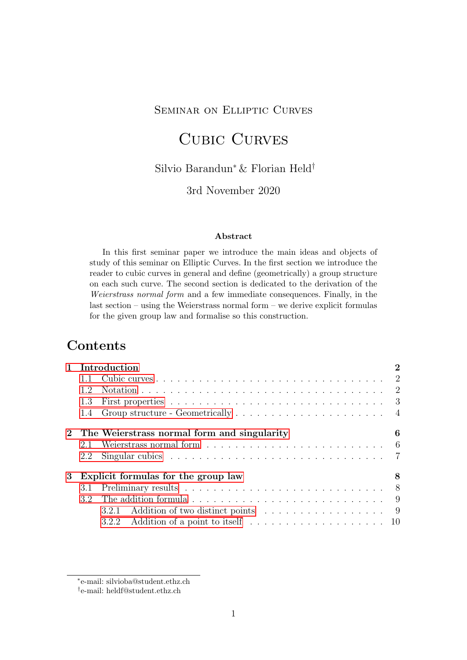## Seminar on Elliptic Curves

# Cubic Curves

### Silvio Barandun<sup>∗</sup> & Florian Held†

### 3rd November 2020

#### Abstract

In this first seminar paper we introduce the main ideas and objects of study of this seminar on Elliptic Curves. In the first section we introduce the reader to cubic curves in general and define (geometrically) a group structure on each such curve. The second section is dedicated to the derivation of the Weierstrass normal form and a few immediate consequences. Finally, in the last section – using the Weierstrass normal form – we derive explicit formulas for the given group law and formalise so this construction.

# **Contents**

|                 |     | 1 Introduction                                                                                 | $\overline{2}$ |
|-----------------|-----|------------------------------------------------------------------------------------------------|----------------|
|                 |     |                                                                                                |                |
|                 | 1.2 |                                                                                                |                |
|                 | 1.3 |                                                                                                |                |
|                 |     |                                                                                                |                |
|                 |     | 2 The Weierstrass normal form and singularity                                                  | 6              |
|                 | 2.1 |                                                                                                |                |
|                 | 2.2 | Singular cubics $\ldots \ldots \ldots \ldots \ldots \ldots \ldots \ldots \ldots \ldots \ldots$ |                |
| $3\phantom{.0}$ |     | Explicit formulas for the group law                                                            | 8              |
|                 |     |                                                                                                |                |
|                 |     |                                                                                                |                |
|                 |     | 3.2.1 Addition of two distinct points 9                                                        |                |
|                 |     |                                                                                                |                |

<sup>∗</sup> e-mail: silvioba@student.ethz.ch

<sup>†</sup> e-mail: heldf@student.ethz.ch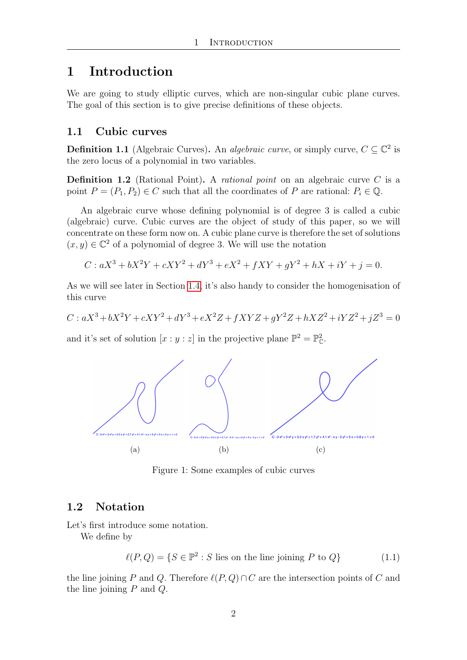# <span id="page-1-0"></span>1 Introduction

We are going to study elliptic curves, which are non-singular cubic plane curves. The goal of this section is to give precise definitions of these objects.

#### <span id="page-1-1"></span>1.1 Cubic curves

**Definition 1.1** (Algebraic Curves). An *algebraic curve*, or simply curve,  $C \subseteq \mathbb{C}^2$  is the zero locus of a polynomial in two variables.

**Definition 1.2** (Rational Point). A *rational point* on an algebraic curve  $C$  is a point  $P = (P_1, P_2) \in C$  such that all the coordinates of P are rational:  $P_i \in \mathbb{Q}$ .

An algebraic curve whose defining polynomial is of degree 3 is called a cubic (algebraic) curve. Cubic curves are the object of study of this paper, so we will concentrate on these form now on. A cubic plane curve is therefore the set of solutions  $(x, y) \in \mathbb{C}^2$  of a polynomial of degree 3. We will use the notation

$$
C: aX^3 + bX^2Y + cXY^2 + dY^3 + eX^2 + fXY + gY^2 + hX + iY + j = 0.
$$

As we will see later in Section [1.4,](#page-3-0) it's also handy to consider the homogenisation of this curve

$$
C: aX^3 + bX^2Y + cXY^2 + dY^3 + eX^2Z + fXYZ + gY^2Z + hXZ^2 + iYZ^2 + jZ^3 = 0
$$

and it's set of solution  $[x:y:z]$  in the projective plane  $\mathbb{P}^2 = \mathbb{P}^2_{\mathbb{C}}$ .



Figure 1: Some examples of cubic curves

#### <span id="page-1-2"></span>1.2 Notation

Let's first introduce some notation.

We define by

$$
\ell(P, Q) = \{ S \in \mathbb{P}^2 : S \text{ lies on the line joining } P \text{ to } Q \}
$$
\n
$$
(1.1)
$$

the line joining P and Q. Therefore  $\ell(P, Q) \cap C$  are the intersection points of C and the line joining  $P$  and  $Q$ .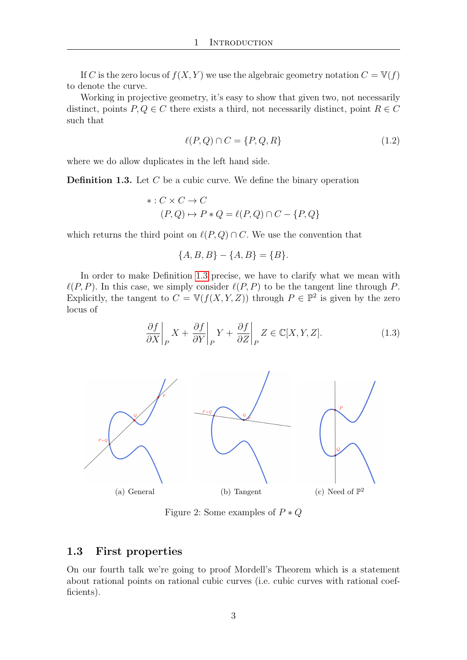If C is the zero locus of  $f(X, Y)$  we use the algebraic geometry notation  $C = \mathbb{V}(f)$ to denote the curve.

Working in projective geometry, it's easy to show that given two, not necessarily distinct, points  $P, Q \in C$  there exists a third, not necessarily distinct, point  $R \in C$ such that

$$
\ell(P,Q) \cap C = \{P,Q,R\} \tag{1.2}
$$

where we do allow duplicates in the left hand side.

<span id="page-2-1"></span>**Definition 1.3.** Let  $C$  be a cubic curve. We define the binary operation

$$
* : C \times C \to C
$$
  
(P,Q) \to P \* Q = l(P,Q) \cap C - {P,Q}

which returns the third point on  $\ell(P, Q) \cap C$ . We use the convention that

$$
\{A, B, B\} - \{A, B\} = \{B\}.
$$

In order to make Definition [1.3](#page-2-1) precise, we have to clarify what we mean with  $\ell(P, P)$ . In this case, we simply consider  $\ell(P, P)$  to be the tangent line through P. Explicitly, the tangent to  $C = \mathbb{V}(f(X, Y, Z))$  through  $P \in \mathbb{P}^2$  is given by the zero locus of

$$
\frac{\partial f}{\partial X}\bigg|_P X + \frac{\partial f}{\partial Y}\bigg|_P Y + \frac{\partial f}{\partial Z}\bigg|_P Z \in \mathbb{C}[X, Y, Z].\tag{1.3}
$$



Figure 2: Some examples of  $P * Q$ 

#### <span id="page-2-0"></span>1.3 First properties

On our fourth talk we're going to proof Mordell's Theorem which is a statement about rational points on rational cubic curves (i.e. cubic curves with rational coefficients).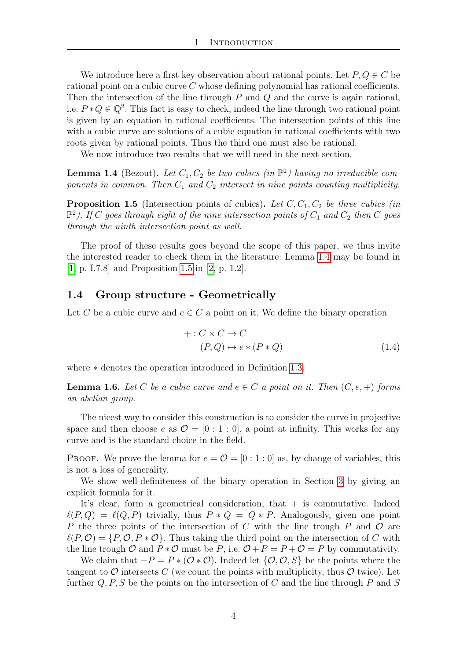<span id="page-3-5"></span>We introduce here a first key observation about rational points. Let  $P, Q \in C$  be rational point on a cubic curve C whose defining polynomial has rational coefficients. Then the intersection of the line through  $P$  and  $Q$  and the curve is again rational, i.e.  $P * Q \in \mathbb{Q}^2$ . This fact is easy to check, indeed the line through two rational point is given by an equation in rational coefficients. The intersection points of this line with a cubic curve are solutions of a cubic equation in rational coefficients with two roots given by rational points. Thus the third one must also be rational.

We now introduce two results that we will need in the next section.

<span id="page-3-1"></span>**Lemma 1.4** (Bezout). Let  $C_1, C_2$  be two cubics (in  $\mathbb{P}^2$ ) having no irreducible components in common. Then  $C_1$  and  $C_2$  intersect in nine points counting multiplicity.

<span id="page-3-2"></span>**Proposition 1.5** (Intersection points of cubics). Let  $C$ ,  $C_1$ ,  $C_2$  be three cubics (in  $\mathbb{P}^2$ ). If C goes through eight of the nine intersection points of  $C_1$  and  $C_2$  then C goes through the ninth intersection point as well.

The proof of these results goes beyond the scope of this paper, we thus invite the interested reader to check them in the literature: Lemma [1.4](#page-3-1) may be found in [\[1,](#page-9-1) p. I.7.8] and Proposition [1.5](#page-3-2) in [\[2,](#page-9-2) p. 1.2].

#### <span id="page-3-0"></span>1.4 Group structure - Geometrically

Let C be a cubic curve and  $e \in C$  a point on it. We define the binary operation

<span id="page-3-4"></span>
$$
+ : C \times C \to C
$$
  
\n
$$
(P, Q) \mapsto e * (P * Q)
$$
\n
$$
(1.4)
$$

where ∗ denotes the operation introduced in Definition [1.3.](#page-2-1)

<span id="page-3-3"></span>**Lemma 1.6.** Let C be a cubic curve and  $e \in C$  a point on it. Then  $(C, e, +)$  forms an abelian group.

The nicest way to consider this construction is to consider the curve in projective space and then choose e as  $\mathcal{O} = [0:1:0]$ , a point at infinity. This works for any curve and is the standard choice in the field.

PROOF. We prove the lemma for  $e = \mathcal{O} = [0:1:0]$  as, by change of variables, this is not a loss of generality.

We show well-definiteness of the binary operation in Section [3](#page-7-0) by giving an explicit formula for it.

It's clear, form a geometrical consideration, that  $+$  is commutative. Indeed  $\ell(P, Q) = \ell(Q, P)$  trivially, thus  $P * Q = Q * P$ . Analogously, given one point P the three points of the intersection of C with the line trough P and  $\mathcal O$  are  $\ell(P, \mathcal{O}) = \{P, \mathcal{O}, P * \mathcal{O}\}\.$  Thus taking the third point on the intersection of C with the line trough O and  $P * \mathcal{O}$  must be P, i.e.  $\mathcal{O} + P = P + \mathcal{O} = P$  by commutativity.

We claim that  $-P = P * (O * O)$ . Indeed let  $\{O, O, S\}$  be the points where the tangent to  $\mathcal O$  intersects C (we count the points with multiplicity, thus  $\mathcal O$  twice). Let further  $Q, P, S$  be the points on the intersection of C and the line through P and S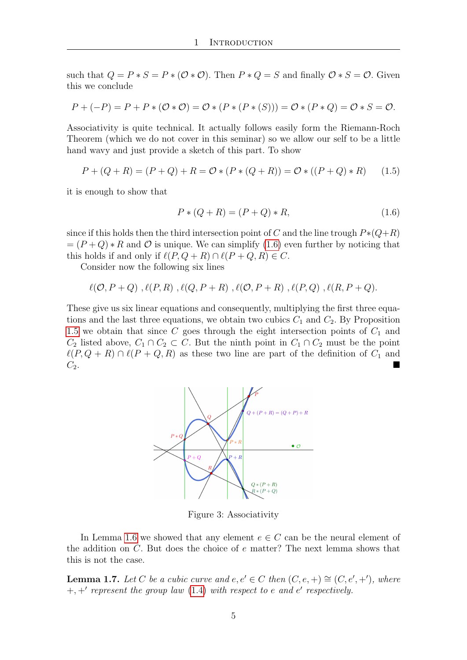such that  $Q = P * S = P * (\mathcal{O} * \mathcal{O})$ . Then  $P * Q = S$  and finally  $\mathcal{O} * S = \mathcal{O}$ . Given this we conclude

$$
P + (-P) = P + P * (\mathcal{O} * \mathcal{O}) = \mathcal{O} * (P * (P * (S))) = \mathcal{O} * (P * Q) = \mathcal{O} * S = \mathcal{O}.
$$

Associativity is quite technical. It actually follows easily form the Riemann-Roch Theorem (which we do not cover in this seminar) so we allow our self to be a little hand wavy and just provide a sketch of this part. To show

$$
P + (Q + R) = (P + Q) + R = O * (P * (Q + R)) = O * ((P + Q) * R)
$$
 (1.5)

it is enough to show that

<span id="page-4-0"></span>
$$
P * (Q + R) = (P + Q) * R,\t(1.6)
$$

since if this holds then the third intersection point of C and the line trough  $P*(Q+R)$  $=(P+Q) * R$  and O is unique. We can simplify [\(1.6\)](#page-4-0) even further by noticing that this holds if and only if  $\ell(P, Q + R) \cap \ell(P + Q, R) \in C$ .

Consider now the following six lines

$$
\ell(\mathcal{O}, P+Q)
$$
,  $\ell(P, R)$ ,  $\ell(Q, P+R)$ ,  $\ell(\mathcal{O}, P+R)$ ,  $\ell(P, Q)$ ,  $\ell(R, P+Q)$ .

These give us six linear equations and consequently, multiplying the first three equations and the last three equations, we obtain two cubics  $C_1$  and  $C_2$ . By Proposition [1.5](#page-3-2) we obtain that since C goes through the eight intersection points of  $C_1$  and  $C_2$  listed above,  $C_1 \cap C_2 \subset C$ . But the ninth point in  $C_1 \cap C_2$  must be the point  $\ell(P, Q + R) \cap \ell(P + Q, R)$  as these two line are part of the definition of  $C_1$  and  $C_2$ .



Figure 3: Associativity

In Lemma [1.6](#page-3-3) we showed that any element  $e \in C$  can be the neural element of the addition on  $C$ . But does the choice of  $e$  matter? The next lemma shows that this is not the case.

**Lemma 1.7.** Let C be a cubic curve and  $e, e' \in C$  then  $(C, e, +) \cong (C, e', +')$ , where  $+, +'$  represent the group law [\(1.4\)](#page-3-4) with respect to e and e' respectively.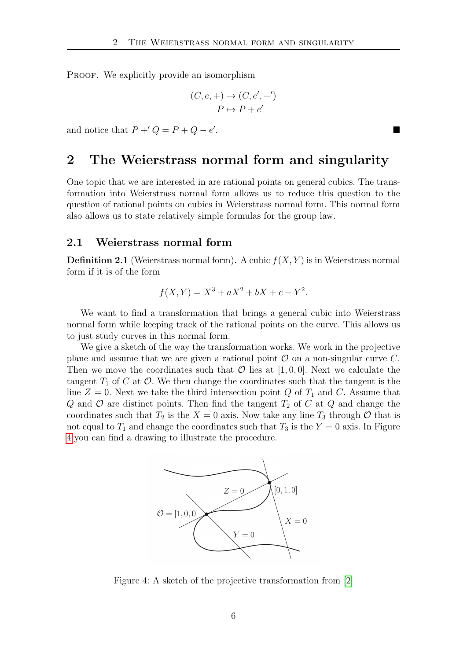<span id="page-5-3"></span>PROOF. We explicitly provide an isomorphism

$$
(C, e, +) \rightarrow (C, e', +')
$$
  

$$
P \mapsto P + e'
$$

and notice that  $P' + Q = P + Q - e'$ .

# <span id="page-5-0"></span>2 The Weierstrass normal form and singularity

One topic that we are interested in are rational points on general cubics. The transformation into Weierstrass normal form allows us to reduce this question to the question of rational points on cubics in Weierstrass normal form. This normal form also allows us to state relatively simple formulas for the group law.

#### <span id="page-5-1"></span>2.1 Weierstrass normal form

**Definition 2.1** (Weierstrass normal form). A cubic  $f(X, Y)$  is in Weierstrass normal form if it is of the form

$$
f(X, Y) = X^3 + aX^2 + bX + c - Y^2.
$$

We want to find a transformation that brings a general cubic into Weierstrass normal form while keeping track of the rational points on the curve. This allows us to just study curves in this normal form.

We give a sketch of the way the transformation works. We work in the projective plane and assume that we are given a rational point  $\mathcal O$  on a non-singular curve C. Then we move the coordinates such that  $\mathcal O$  lies at [1,0,0]. Next we calculate the tangent  $T_1$  of C at  $\mathcal O$ . We then change the coordinates such that the tangent is the line  $Z = 0$ . Next we take the third intersection point Q of  $T_1$  and C. Assume that Q and  $\mathcal O$  are distinct points. Then find the tangent  $T_2$  of C at Q and change the coordinates such that  $T_2$  is the  $X = 0$  axis. Now take any line  $T_3$  through  $\mathcal O$  that is not equal to  $T_1$  and change the coordinates such that  $T_3$  is the  $Y = 0$  axis. In Figure [4](#page-5-2) you can find a drawing to illustrate the procedure.



<span id="page-5-2"></span>Figure 4: A sketch of the projective transformation from [\[2\]](#page-9-2)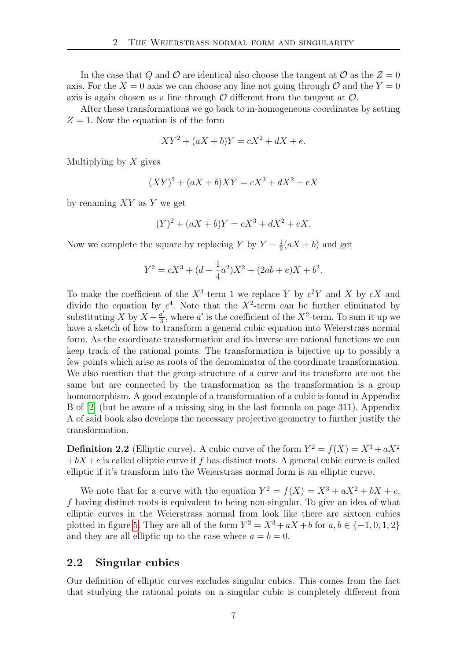<span id="page-6-1"></span>In the case that Q and O are identical also choose the tangent at O as the  $Z = 0$ axis. For the  $X = 0$  axis we can choose any line not going through O and the  $Y = 0$ axis is again chosen as a line through  $\mathcal O$  different from the tangent at  $\mathcal O$ .

After these transformations we go back to in-homogeneous coordinates by setting  $Z = 1$ . Now the equation is of the form

$$
XY^2 + (aX + b)Y = cX^2 + dX + e.
$$

Multiplying by  $X$  gives

$$
(XY)^{2} + (aX + b)XY = cX^{3} + dX^{2} + eX
$$

by renaming  $XY$  as Y we get

$$
(Y)^{2} + (aX + b)Y = cX^{3} + dX^{2} + eX.
$$

Now we complete the square by replacing Y by  $Y-\frac{1}{2}$  $\frac{1}{2}(aX+b)$  and get

$$
Y^{2} = cX^{3} + (d - \frac{1}{4}a^{2})X^{2} + (2ab + e)X + b^{2}.
$$

To make the coefficient of the  $X^3$ -term 1 we replace Y by  $c^2Y$  and X by  $cX$  and divide the equation by  $c^4$ . Note that the  $X^2$ -term can be further eliminated by substituting X by  $X - \frac{a'}{3}$  $\frac{a'}{3}$ , where a' is the coefficient of the  $X^2$ -term. To sum it up we have a sketch of how to transform a general cubic equation into Weierstrass normal form. As the coordinate transformation and its inverse are rational functions we can keep track of the rational points. The transformation is bijective up to possibly a few points which arise as roots of the denominator of the coordinate transformation. We also mention that the group structure of a curve and its transform are not the same but are connected by the transformation as the transformation is a group homomorphism. A good example of a transformation of a cubic is found in Appendix B of [\[2\]](#page-9-2) (but be aware of a missing sing in the last formula on page 311). Appendix A of said book also develops the necessary projective geometry to further justify the transformation.

**Definition 2.2** (Elliptic curve). A cubic curve of the form  $Y^2 = f(X) = X^3 + aX^2$  $+bX + c$  is called elliptic curve if f has distinct roots. A general cubic curve is called elliptic if it's transform into the Weierstrass normal form is an elliptic curve.

We note that for a curve with the equation  $Y^2 = f(X) = X^3 + aX^2 + bX + c$ , f having distinct roots is equivalent to being non-singular. To give an idea of what elliptic curves in the Weierstrass normal from look like there are sixteen cubics plotted in figure [5.](#page-7-2) They are all of the form  $Y^2 = X^3 + aX + b$  for  $a, b \in \{-1, 0, 1, 2\}$ and they are all elliptic up to the case where  $a = b = 0$ .

#### <span id="page-6-0"></span>2.2 Singular cubics

Our definition of elliptic curves excludes singular cubics. This comes from the fact that studying the rational points on a singular cubic is completely different from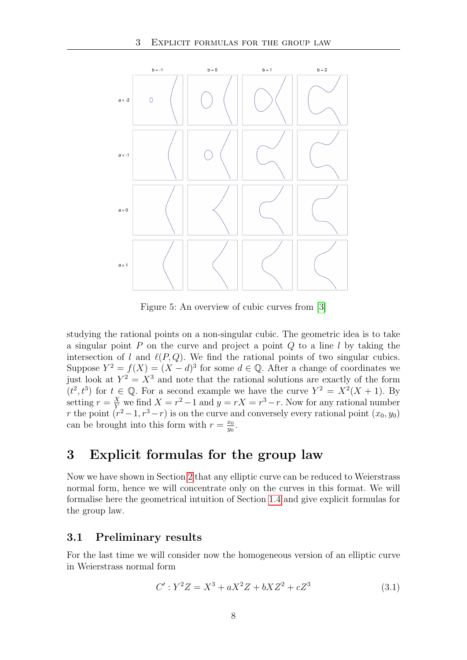<span id="page-7-4"></span>

<span id="page-7-2"></span>Figure 5: An overview of cubic curves from [\[3\]](#page-9-3)

studying the rational points on a non-singular cubic. The geometric idea is to take a singular point  $P$  on the curve and project a point  $Q$  to a line  $l$  by taking the intersection of l and  $\ell(P, Q)$ . We find the rational points of two singular cubics. Suppose  $Y^2 = f(X) = (X - d)^3$  for some  $d \in \mathbb{Q}$ . After a change of coordinates we just look at  $Y^2 = X^3$  and note that the rational solutions are exactly of the form  $(t^2, t^3)$  for  $t \in \mathbb{Q}$ . For a second example we have the curve  $Y^2 = X^2(X + 1)$ . By setting  $r = \frac{X}{Y}$  we find  $X = r^2 - 1$  and  $y = rX = r^3 - r$ . Now for any rational number r the point  $(r^2-1, r^3-r)$  is on the curve and conversely every rational point  $(x_0, y_0)$ can be brought into this form with  $r = \frac{x_0}{y_0}$  $\frac{x_0}{y_0}$ .

# <span id="page-7-0"></span>3 Explicit formulas for the group law

Now we have shown in Section [2](#page-5-0) that any elliptic curve can be reduced to Weierstrass normal form, hence we will concentrate only on the curves in this format. We will formalise here the geometrical intuition of Section [1.4](#page-3-0) and give explicit formulas for the group law.

#### <span id="page-7-1"></span>3.1 Preliminary results

For the last time we will consider now the homogeneous version of an elliptic curve in Weierstrass normal form

<span id="page-7-3"></span>
$$
C': Y^2 Z = X^3 + aX^2 Z + bXZ^2 + cZ^3 \tag{3.1}
$$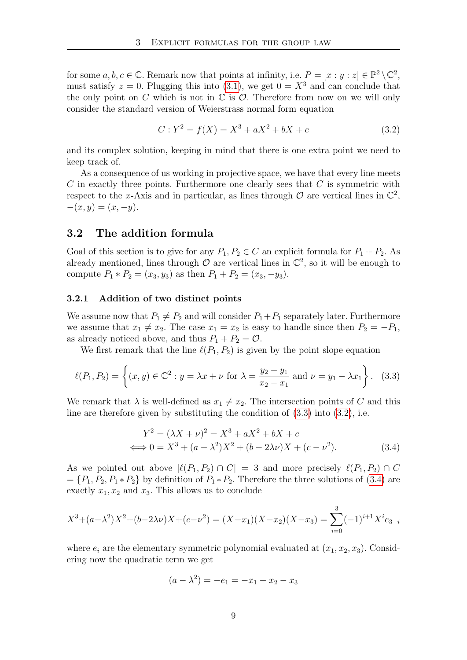for some  $a, b, c \in \mathbb{C}$ . Remark now that points at infinity, i.e.  $P = [x : y : z] \in \mathbb{P}^2 \setminus \mathbb{C}^2$ , must satisfy  $z = 0$ . Plugging this into [\(3.1\)](#page-7-3), we get  $0 = X<sup>3</sup>$  and can conclude that the only point on C which is not in  $\mathbb C$  is  $\mathcal O$ . Therefore from now on we will only consider the standard version of Weierstrass normal form equation

<span id="page-8-3"></span>
$$
C: Y^2 = f(X) = X^3 + aX^2 + bX + c \tag{3.2}
$$

and its complex solution, keeping in mind that there is one extra point we need to keep track of.

As a consequence of us working in projective space, we have that every line meets C in exactly three points. Furthermore one clearly sees that C is symmetric with respect to the x-Axis and in particular, as lines through  $\mathcal O$  are vertical lines in  $\mathbb C^2$ ,  $-(x, y) = (x, -y).$ 

#### <span id="page-8-0"></span>3.2 The addition formula

Goal of this section is to give for any  $P_1, P_2 \in C$  an explicit formula for  $P_1 + P_2$ . As already mentioned, lines through  $\mathcal O$  are vertical lines in  $\mathbb C^2$ , so it will be enough to compute  $P_1 * P_2 = (x_3, y_3)$  as then  $P_1 + P_2 = (x_3, -y_3)$ .

#### <span id="page-8-1"></span>3.2.1 Addition of two distinct points

We assume now that  $P_1 \neq P_2$  and will consider  $P_1+P_1$  separately later. Furthermore we assume that  $x_1 \neq x_2$ . The case  $x_1 = x_2$  is easy to handle since then  $P_2 = -P_1$ , as already noticed above, and thus  $P_1 + P_2 = \mathcal{O}$ .

We first remark that the line  $\ell(P_1, P_2)$  is given by the point slope equation

$$
\ell(P_1, P_2) = \left\{ (x, y) \in \mathbb{C}^2 : y = \lambda x + \nu \text{ for } \lambda = \frac{y_2 - y_1}{x_2 - x_1} \text{ and } \nu = y_1 - \lambda x_1 \right\}. \tag{3.3}
$$

We remark that  $\lambda$  is well-defined as  $x_1 \neq x_2$ . The intersection points of C and this line are therefore given by substituting the condition of  $(3.3)$  into  $(3.2)$ , i.e.

<span id="page-8-4"></span><span id="page-8-2"></span>
$$
Y^{2} = (\lambda X + \nu)^{2} = X^{3} + aX^{2} + bX + c
$$
  

$$
\iff 0 = X^{3} + (a - \lambda^{2})X^{2} + (b - 2\lambda\nu)X + (c - \nu^{2}).
$$
 (3.4)

As we pointed out above  $|\ell(P_1, P_2) \cap C| = 3$  and more precisely  $\ell(P_1, P_2) \cap C$  $=\{P_1, P_2, P_1 \ast P_2\}$  by definition of  $P_1 \ast P_2$ . Therefore the three solutions of [\(3.4\)](#page-8-4) are exactly  $x_1, x_2$  and  $x_3$ . This allows us to conclude

$$
X^3 + (a - \lambda^2)X^2 + (b - 2\lambda\nu)X + (c - \nu^2) = (X - x_1)(X - x_2)(X - x_3) = \sum_{i=0}^3 (-1)^{i+1} X^i e_{3-i}
$$

where  $e_i$  are the elementary symmetric polynomial evaluated at  $(x_1, x_2, x_3)$ . Considering now the quadratic term we get

$$
(a - \lambda^2) = -e_1 = -x_1 - x_2 - x_3
$$